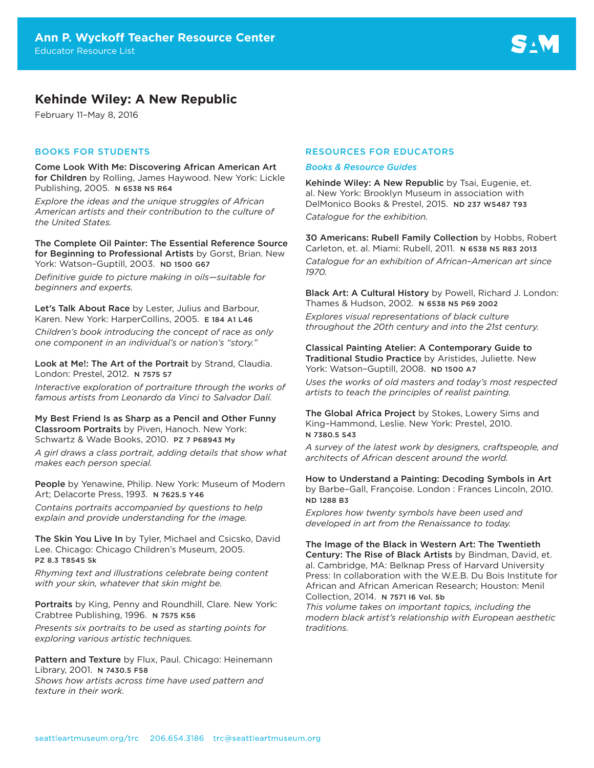# **Kehinde Wiley: A New Republic**

February 11–May 8, 2016

# BOOKS FOR STUDENTS

Come Look With Me: Discovering African American Art for Children by Rolling, James Haywood. New York: Lickle Publishing, 2005. N 6538 N5 R64

*Explore the ideas and the unique struggles of African American artists and their contribution to the culture of the United States.*

The Complete Oil Painter: The Essential Reference Source for Beginning to Professional Artists by Gorst, Brian. New York: Watson–Guptill, 2003. ND 1500 G67

*Definitive guide to picture making in oils—suitable for beginners and experts.*

Let's Talk About Race by Lester, Julius and Barbour, Karen. New York: HarperCollins, 2005. E 184 A1 L46

*Children's book introducing the concept of race as only one component in an individual's or nation's "story."* 

Look at Me!: The Art of the Portrait by Strand, Claudia. London: Prestel, 2012. N 7575 S7

*Interactive exploration of portraiture through the works of famous artists from Leonardo da Vinci to Salvador Dalí.* 

My Best Friend Is as Sharp as a Pencil and Other Funny Classroom Portraits by Piven, Hanoch. New York: Schwartz & Wade Books, 2010. PZ 7 P68943 My

*A girl draws a class portrait, adding details that show what makes each person special.*

People by Yenawine, Philip. New York: Museum of Modern Art; Delacorte Press, 1993. N 7625.5 Y46

*Contains portraits accompanied by questions to help explain and provide understanding for the image.* 

The Skin You Live In by Tyler, Michael and Csicsko, David Lee. Chicago: Chicago Children's Museum, 2005. PZ 8.3 T8545 Sk

*Rhyming text and illustrations celebrate being content with your skin, whatever that skin might be.* 

Portraits by King, Penny and Roundhill, Clare. New York: Crabtree Publishing, 1996. N 7575 K56

*Presents six portraits to be used as starting points for exploring various artistic techniques.* 

Pattern and Texture by Flux, Paul. Chicago: Heinemann Library, 2001. N 7430.5 F58 *Shows how artists across time have used pattern and* 

*texture in their work.* 

# RESOURCES FOR EDUCATORS

#### *Books & Resource Guides*

Kehinde Wiley: A New Republic by Tsai, Eugenie, et. al. New York: Brooklyn Museum in association with DelMonico Books & Prestel, 2015. ND 237 W5487 T93 *Catalogue for the exhibition.* 

30 Americans: Rubell Family Collection by Hobbs, Robert Carleton, et. al. Miami: Rubell, 2011. N 6538 N5 R83 2013 *Catalogue for an exhibition of African–American art since 1970.*

Black Art: A Cultural History by Powell, Richard J. London: Thames & Hudson, 2002. N 6538 N5 P69 2002

*Explores visual representations of black culture throughout the 20th century and into the 21st century.* 

Classical Painting Atelier: A Contemporary Guide to Traditional Studio Practice by Aristides, Juliette. New York: Watson–Guptill, 2008. ND 1500 A7

*Uses the works of old masters and today's most respected artists to teach the principles of realist painting.*

The Global Africa Project by Stokes, Lowery Sims and King–Hammond, Leslie. New York: Prestel, 2010. N 7380.5 S43

*A survey of the latest work by designers, craftspeople, and architects of African descent around the world.*

How to Understand a Painting: Decoding Symbols in Art by Barbe–Gall, Françoise. London : Frances Lincoln, 2010. ND 1288 B3

*Explores how twenty symbols have been used and developed in art from the Renaissance to today.*

The Image of the Black in Western Art: The Twentieth Century: The Rise of Black Artists by Bindman, David, et. al. Cambridge, MA: Belknap Press of Harvard University Press: In collaboration with the W.E.B. Du Bois Institute for African and African American Research; Houston: Menil Collection, 2014. N 7571 I6 Vol. 5b

*This volume takes on important topics, including the modern black artist's relationship with European aesthetic traditions.*